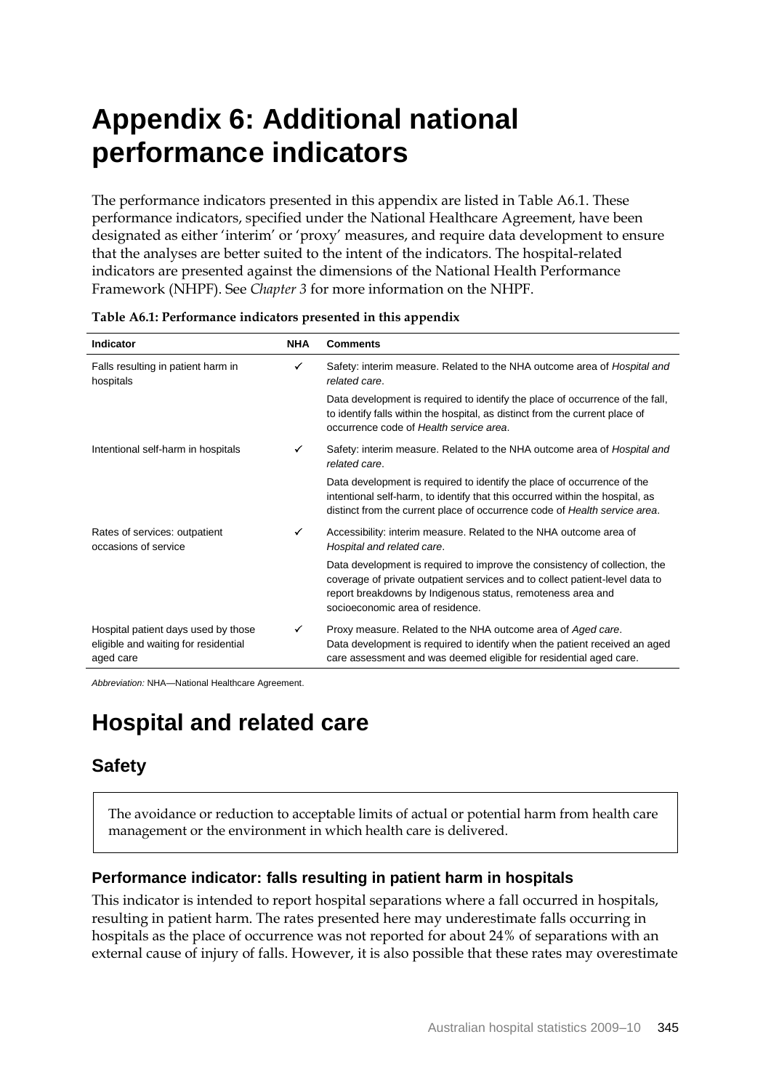# **Appendix 6: Additional national performance indicators**

The performance indicators presented in this appendix are listed in Table A6.1. These performance indicators, specified under the National Healthcare Agreement, have been designated as either 'interim' or 'proxy' measures, and require data development to ensure that the analyses are better suited to the intent of the indicators. The hospital-related indicators are presented against the dimensions of the National Health Performance Framework (NHPF). See *Chapter 3* for more information on the NHPF.

| Indicator                                                                                | <b>NHA</b> | <b>Comments</b>                                                                                                                                                                                                                                               |
|------------------------------------------------------------------------------------------|------------|---------------------------------------------------------------------------------------------------------------------------------------------------------------------------------------------------------------------------------------------------------------|
| Falls resulting in patient harm in<br>hospitals                                          | ✓          | Safety: interim measure. Related to the NHA outcome area of <i>Hospital and</i><br>related care.                                                                                                                                                              |
|                                                                                          |            | Data development is required to identify the place of occurrence of the fall,<br>to identify falls within the hospital, as distinct from the current place of<br>occurrence code of Health service area.                                                      |
| Intentional self-harm in hospitals                                                       | ✓          | Safety: interim measure. Related to the NHA outcome area of <i>Hospital and</i><br>related care.                                                                                                                                                              |
|                                                                                          |            | Data development is required to identify the place of occurrence of the<br>intentional self-harm, to identify that this occurred within the hospital, as<br>distinct from the current place of occurrence code of Health service area.                        |
| Rates of services: outpatient<br>occasions of service                                    | ✓          | Accessibility: interim measure. Related to the NHA outcome area of<br>Hospital and related care.                                                                                                                                                              |
|                                                                                          |            | Data development is required to improve the consistency of collection, the<br>coverage of private outpatient services and to collect patient-level data to<br>report breakdowns by Indigenous status, remoteness area and<br>socioeconomic area of residence. |
| Hospital patient days used by those<br>eligible and waiting for residential<br>aged care | ✓          | Proxy measure. Related to the NHA outcome area of Aged care.<br>Data development is required to identify when the patient received an aged<br>care assessment and was deemed eligible for residential aged care.                                              |

*Abbreviation:* NHA—National Healthcare Agreement.

## **Hospital and related care**

## **Safety**

The avoidance or reduction to acceptable limits of actual or potential harm from health care management or the environment in which health care is delivered.

## **Performance indicator: falls resulting in patient harm in hospitals**

This indicator is intended to report hospital separations where a fall occurred in hospitals, resulting in patient harm. The rates presented here may underestimate falls occurring in hospitals as the place of occurrence was not reported for about 24% of separations with an external cause of injury of falls. However, it is also possible that these rates may overestimate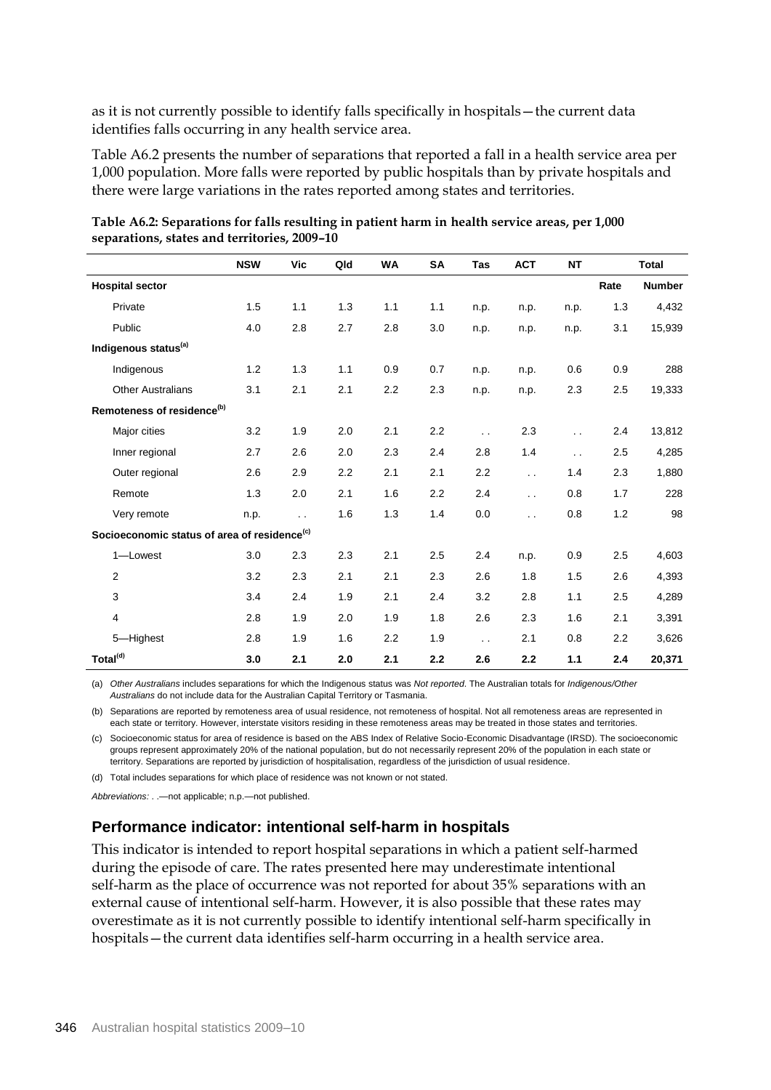as it is not currently possible to identify falls specifically in hospitals—the current data identifies falls occurring in any health service area.

Table A6.2 presents the number of separations that reported a fall in a health service area per 1,000 population. More falls were reported by public hospitals than by private hospitals and there were large variations in the rates reported among states and territories.

|                                                          | <b>NSW</b> | Vic                  | Qld | WA  | <b>SA</b> | Tas                  | <b>ACT</b>             | <b>NT</b>            |      | <b>Total</b>  |
|----------------------------------------------------------|------------|----------------------|-----|-----|-----------|----------------------|------------------------|----------------------|------|---------------|
| <b>Hospital sector</b>                                   |            |                      |     |     |           |                      |                        |                      | Rate | <b>Number</b> |
| Private                                                  | 1.5        | 1.1                  | 1.3 | 1.1 | 1.1       | n.p.                 | n.p.                   | n.p.                 | 1.3  | 4,432         |
| Public                                                   | 4.0        | 2.8                  | 2.7 | 2.8 | 3.0       | n.p.                 | n.p.                   | n.p.                 | 3.1  | 15,939        |
| Indigenous status <sup>(a)</sup>                         |            |                      |     |     |           |                      |                        |                      |      |               |
| Indigenous                                               | 1.2        | 1.3                  | 1.1 | 0.9 | 0.7       | n.p.                 | n.p.                   | 0.6                  | 0.9  | 288           |
| <b>Other Australians</b>                                 | 3.1        | 2.1                  | 2.1 | 2.2 | 2.3       | n.p.                 | n.p.                   | 2.3                  | 2.5  | 19,333        |
| Remoteness of residence <sup>(b)</sup>                   |            |                      |     |     |           |                      |                        |                      |      |               |
| Major cities                                             | 3.2        | 1.9                  | 2.0 | 2.1 | 2.2       | $\ddotsc$            | 2.3                    | $\ddot{\phantom{0}}$ | 2.4  | 13,812        |
| Inner regional                                           | 2.7        | 2.6                  | 2.0 | 2.3 | 2.4       | 2.8                  | 1.4                    | $\ddot{\phantom{0}}$ | 2.5  | 4,285         |
| Outer regional                                           | 2.6        | 2.9                  | 2.2 | 2.1 | 2.1       | 2.2                  | $\ddot{\phantom{a}}$   | 1.4                  | 2.3  | 1,880         |
| Remote                                                   | 1.3        | 2.0                  | 2.1 | 1.6 | 2.2       | 2.4                  | $\ddot{\phantom{a}}$ . | 0.8                  | 1.7  | 228           |
| Very remote                                              | n.p.       | $\ddot{\phantom{a}}$ | 1.6 | 1.3 | 1.4       | 0.0                  | $\ddot{\phantom{0}}$   | 0.8                  | 1.2  | 98            |
| Socioeconomic status of area of residence <sup>(c)</sup> |            |                      |     |     |           |                      |                        |                      |      |               |
| 1-Lowest                                                 | 3.0        | 2.3                  | 2.3 | 2.1 | 2.5       | 2.4                  | n.p.                   | 0.9                  | 2.5  | 4,603         |
| 2                                                        | 3.2        | 2.3                  | 2.1 | 2.1 | 2.3       | 2.6                  | 1.8                    | 1.5                  | 2.6  | 4,393         |
| 3                                                        | 3.4        | 2.4                  | 1.9 | 2.1 | 2.4       | 3.2                  | 2.8                    | 1.1                  | 2.5  | 4,289         |
| $\overline{4}$                                           | 2.8        | 1.9                  | 2.0 | 1.9 | 1.8       | 2.6                  | 2.3                    | 1.6                  | 2.1  | 3,391         |
| 5-Highest                                                | 2.8        | 1.9                  | 1.6 | 2.2 | 1.9       | $\ddot{\phantom{0}}$ | 2.1                    | 0.8                  | 2.2  | 3,626         |
| Total <sup>(d)</sup>                                     | 3.0        | 2.1                  | 2.0 | 2.1 | 2.2       | 2.6                  | 2.2                    | $1.1$                | 2.4  | 20,371        |

**Table A6.2: Separations for falls resulting in patient harm in health service areas, per 1,000 separations, states and territories, 2009–10**

(a) *Other Australians* includes separations for which the Indigenous status was *Not reported*. The Australian totals for *Indigenous/Other Australians* do not include data for the Australian Capital Territory or Tasmania.

(b) Separations are reported by remoteness area of usual residence, not remoteness of hospital. Not all remoteness areas are represented in each state or territory. However, interstate visitors residing in these remoteness areas may be treated in those states and territories.

(c) Socioeconomic status for area of residence is based on the ABS Index of Relative Socio-Economic Disadvantage (IRSD). The socioeconomic groups represent approximately 20% of the national population, but do not necessarily represent 20% of the population in each state or territory. Separations are reported by jurisdiction of hospitalisation, regardless of the jurisdiction of usual residence.

(d) Total includes separations for which place of residence was not known or not stated.

*Abbreviations:* . .—not applicable; n.p.—not published.

## **Performance indicator: intentional self-harm in hospitals**

This indicator is intended to report hospital separations in which a patient self-harmed during the episode of care. The rates presented here may underestimate intentional self-harm as the place of occurrence was not reported for about 35% separations with an external cause of intentional self-harm. However, it is also possible that these rates may overestimate as it is not currently possible to identify intentional self-harm specifically in hospitals—the current data identifies self-harm occurring in a health service area.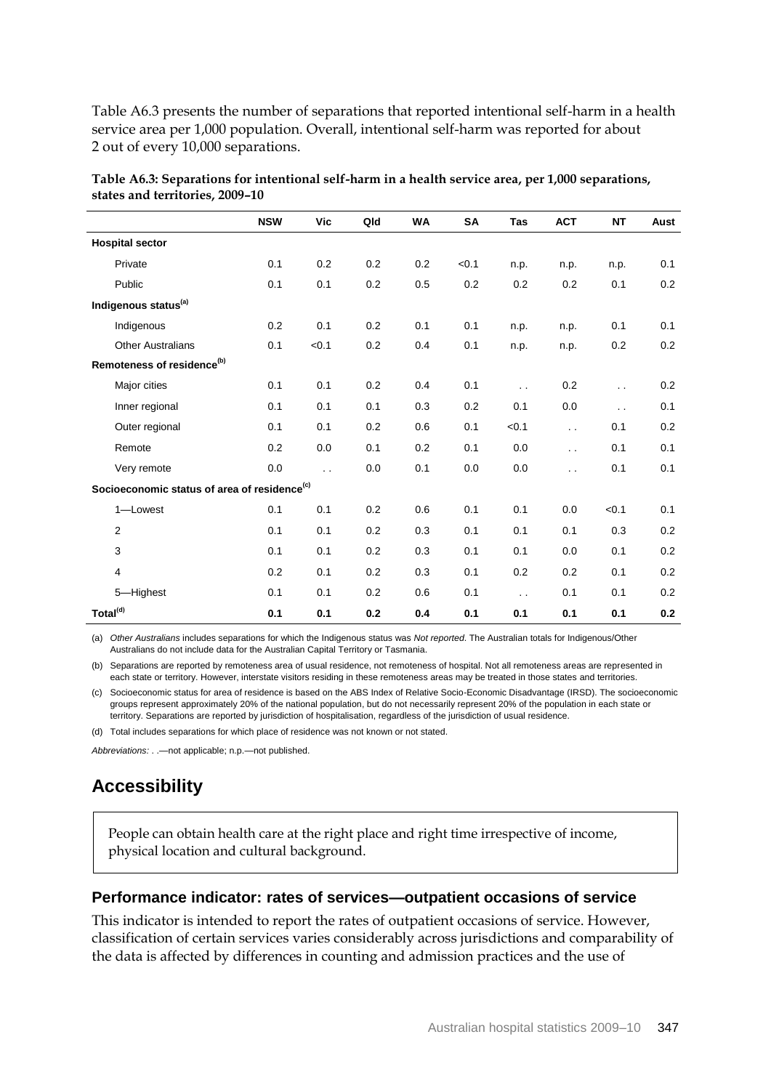Table A6.3 presents the number of separations that reported intentional self-harm in a health service area per 1,000 population. Overall, intentional self-harm was reported for about 2 out of every 10,000 separations.

|                                                          | <b>NSW</b> | Vic                  | Qld | <b>WA</b> | <b>SA</b> | Tas                  | <b>ACT</b>           | <b>NT</b>                     | Aust |
|----------------------------------------------------------|------------|----------------------|-----|-----------|-----------|----------------------|----------------------|-------------------------------|------|
| <b>Hospital sector</b>                                   |            |                      |     |           |           |                      |                      |                               |      |
| Private                                                  | 0.1        | 0.2                  | 0.2 | 0.2       | < 0.1     | n.p.                 | n.p.                 | n.p.                          | 0.1  |
| Public                                                   | 0.1        | 0.1                  | 0.2 | 0.5       | 0.2       | 0.2                  | 0.2                  | 0.1                           | 0.2  |
| Indigenous status <sup>(a)</sup>                         |            |                      |     |           |           |                      |                      |                               |      |
| Indigenous                                               | 0.2        | 0.1                  | 0.2 | 0.1       | 0.1       | n.p.                 | n.p.                 | 0.1                           | 0.1  |
| <b>Other Australians</b>                                 | 0.1        | < 0.1                | 0.2 | 0.4       | 0.1       | n.p.                 | n.p.                 | 0.2                           | 0.2  |
| Remoteness of residence <sup>(b)</sup>                   |            |                      |     |           |           |                      |                      |                               |      |
| Major cities                                             | 0.1        | 0.1                  | 0.2 | 0.4       | 0.1       | $\ddot{\phantom{0}}$ | 0.2                  | $\mathcal{L}^{\mathcal{L}}$ . | 0.2  |
| Inner regional                                           | 0.1        | 0.1                  | 0.1 | 0.3       | 0.2       | 0.1                  | 0.0                  | $\ddot{\phantom{a}}$          | 0.1  |
| Outer regional                                           | 0.1        | 0.1                  | 0.2 | 0.6       | 0.1       | < 0.1                | $\ddot{\phantom{a}}$ | 0.1                           | 0.2  |
| Remote                                                   | 0.2        | 0.0                  | 0.1 | 0.2       | 0.1       | 0.0                  | $\ddot{\phantom{a}}$ | 0.1                           | 0.1  |
| Very remote                                              | 0.0        | $\ddot{\phantom{a}}$ | 0.0 | 0.1       | 0.0       | 0.0                  | $\ddot{\phantom{a}}$ | 0.1                           | 0.1  |
| Socioeconomic status of area of residence <sup>(c)</sup> |            |                      |     |           |           |                      |                      |                               |      |
| 1-Lowest                                                 | 0.1        | 0.1                  | 0.2 | 0.6       | 0.1       | 0.1                  | 0.0                  | < 0.1                         | 0.1  |
| $\overline{2}$                                           | 0.1        | 0.1                  | 0.2 | 0.3       | 0.1       | 0.1                  | 0.1                  | 0.3                           | 0.2  |
| 3                                                        | 0.1        | 0.1                  | 0.2 | 0.3       | 0.1       | 0.1                  | 0.0                  | 0.1                           | 0.2  |
| 4                                                        | 0.2        | 0.1                  | 0.2 | 0.3       | 0.1       | 0.2                  | 0.2                  | 0.1                           | 0.2  |
| 5-Highest                                                | 0.1        | 0.1                  | 0.2 | 0.6       | 0.1       | $\ddotsc$            | 0.1                  | 0.1                           | 0.2  |
| Total <sup>(d)</sup>                                     | 0.1        | 0.1                  | 0.2 | 0.4       | 0.1       | 0.1                  | 0.1                  | 0.1                           | 0.2  |

| Table A6.3: Separations for intentional self-harm in a health service area, per 1,000 separations, |  |
|----------------------------------------------------------------------------------------------------|--|
| states and territories, 2009-10                                                                    |  |

(a) *Other Australians* includes separations for which the Indigenous status was *Not reported*. The Australian totals for Indigenous/Other Australians do not include data for the Australian Capital Territory or Tasmania.

(b) Separations are reported by remoteness area of usual residence, not remoteness of hospital. Not all remoteness areas are represented in each state or territory. However, interstate visitors residing in these remoteness areas may be treated in those states and territories.

(c) Socioeconomic status for area of residence is based on the ABS Index of Relative Socio-Economic Disadvantage (IRSD). The socioeconomic groups represent approximately 20% of the national population, but do not necessarily represent 20% of the population in each state or territory. Separations are reported by jurisdiction of hospitalisation, regardless of the jurisdiction of usual residence.

(d) Total includes separations for which place of residence was not known or not stated.

*Abbreviations:* . .—not applicable; n.p.—not published.

## **Accessibility**

People can obtain health care at the right place and right time irrespective of income, physical location and cultural background.

#### **Performance indicator: rates of services—outpatient occasions of service**

This indicator is intended to report the rates of outpatient occasions of service. However, classification of certain services varies considerably across jurisdictions and comparability of the data is affected by differences in counting and admission practices and the use of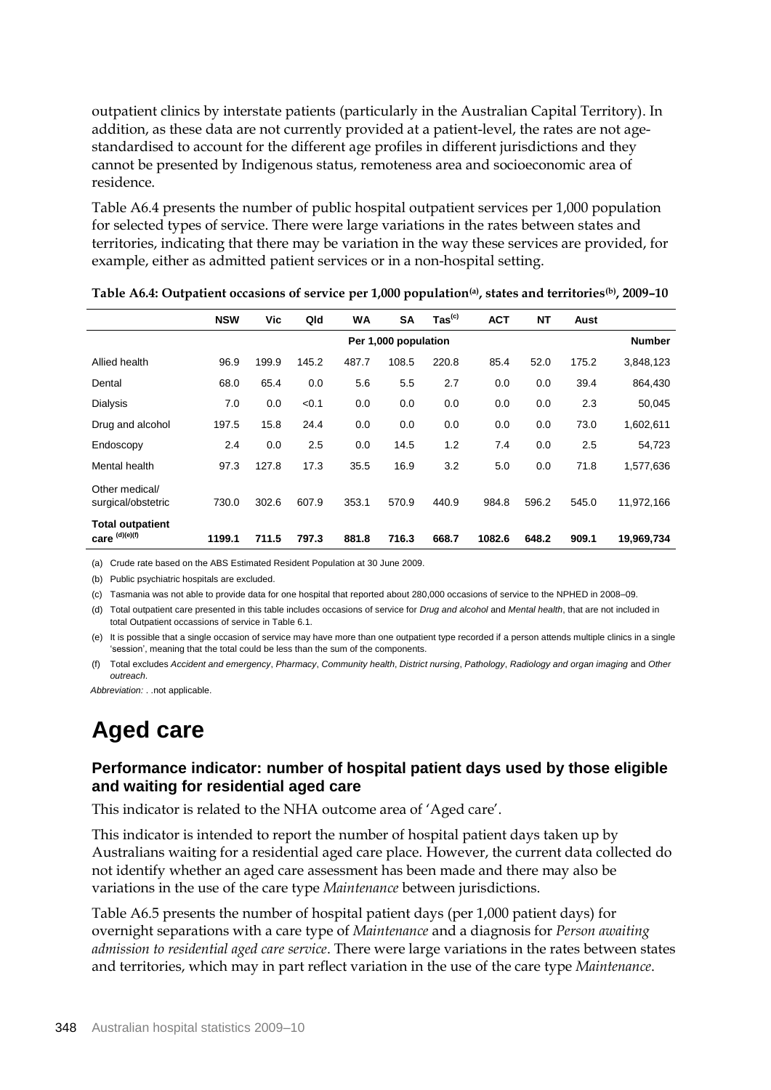outpatient clinics by interstate patients (particularly in the Australian Capital Territory). In addition, as these data are not currently provided at a patient-level, the rates are not agestandardised to account for the different age profiles in different jurisdictions and they cannot be presented by Indigenous status, remoteness area and socioeconomic area of residence.

Table A6.4 presents the number of public hospital outpatient services per 1,000 population for selected types of service. There were large variations in the rates between states and territories, indicating that there may be variation in the way these services are provided, for example, either as admitted patient services or in a non-hospital setting.

|                                             | <b>NSW</b>           | Vic   | Qld   | <b>WA</b> | <b>SA</b> | $\mathsf{ Tas}^\mathsf{(c)}$ | <b>ACT</b> | <b>NT</b> | Aust  |            |
|---------------------------------------------|----------------------|-------|-------|-----------|-----------|------------------------------|------------|-----------|-------|------------|
|                                             | Per 1,000 population |       |       |           |           |                              |            |           |       |            |
| Allied health                               | 96.9                 | 199.9 | 145.2 | 487.7     | 108.5     | 220.8                        | 85.4       | 52.0      | 175.2 | 3,848,123  |
| Dental                                      | 68.0                 | 65.4  | 0.0   | 5.6       | 5.5       | 2.7                          | 0.0        | 0.0       | 39.4  | 864,430    |
| <b>Dialysis</b>                             | 7.0                  | 0.0   | < 0.1 | 0.0       | 0.0       | 0.0                          | 0.0        | 0.0       | 2.3   | 50,045     |
| Drug and alcohol                            | 197.5                | 15.8  | 24.4  | 0.0       | 0.0       | 0.0                          | 0.0        | 0.0       | 73.0  | 1,602,611  |
| Endoscopy                                   | 2.4                  | 0.0   | 2.5   | 0.0       | 14.5      | 1.2                          | 7.4        | 0.0       | 2.5   | 54,723     |
| Mental health                               | 97.3                 | 127.8 | 17.3  | 35.5      | 16.9      | 3.2                          | 5.0        | 0.0       | 71.8  | 1,577,636  |
| Other medical/<br>surgical/obstetric        | 730.0                | 302.6 | 607.9 | 353.1     | 570.9     | 440.9                        | 984.8      | 596.2     | 545.0 | 11,972,166 |
| <b>Total outpatient</b><br>care $(d)(e)(f)$ | 1199.1               | 711.5 | 797.3 | 881.8     | 716.3     | 668.7                        | 1082.6     | 648.2     | 909.1 | 19,969,734 |

**Table A6.4: Outpatient occasions of service per 1,000 population(a), states and territories(b), 2009–10**

(a) Crude rate based on the ABS Estimated Resident Population at 30 June 2009.

(b) Public psychiatric hospitals are excluded.

(c) Tasmania was not able to provide data for one hospital that reported about 280,000 occasions of service to the NPHED in 2008–09.

(d) Total outpatient care presented in this table includes occasions of service for *Drug and alcohol* and *Mental health*, that are not included in total Outpatient occassions of service in Table 6.1.

(e) It is possible that a single occasion of service may have more than one outpatient type recorded if a person attends multiple clinics in a single 'session', meaning that the total could be less than the sum of the components.

(f) Total excludes *Accident and emergency*, *Pharmacy*, *Community health*, *District nursing*, *Pathology*, *Radiology and organ imaging* and *Other outreach*.

*Abbreviation:* . .not applicable.

## **Aged care**

### **Performance indicator: number of hospital patient days used by those eligible and waiting for residential aged care**

This indicator is related to the NHA outcome area of 'Aged care'.

This indicator is intended to report the number of hospital patient days taken up by Australians waiting for a residential aged care place. However, the current data collected do not identify whether an aged care assessment has been made and there may also be variations in the use of the care type *Maintenance* between jurisdictions.

Table A6.5 presents the number of hospital patient days (per 1,000 patient days) for overnight separations with a care type of *Maintenance* and a diagnosis for *Person awaiting admission to residential aged care service*. There were large variations in the rates between states and territories, which may in part reflect variation in the use of the care type *Maintenance*.